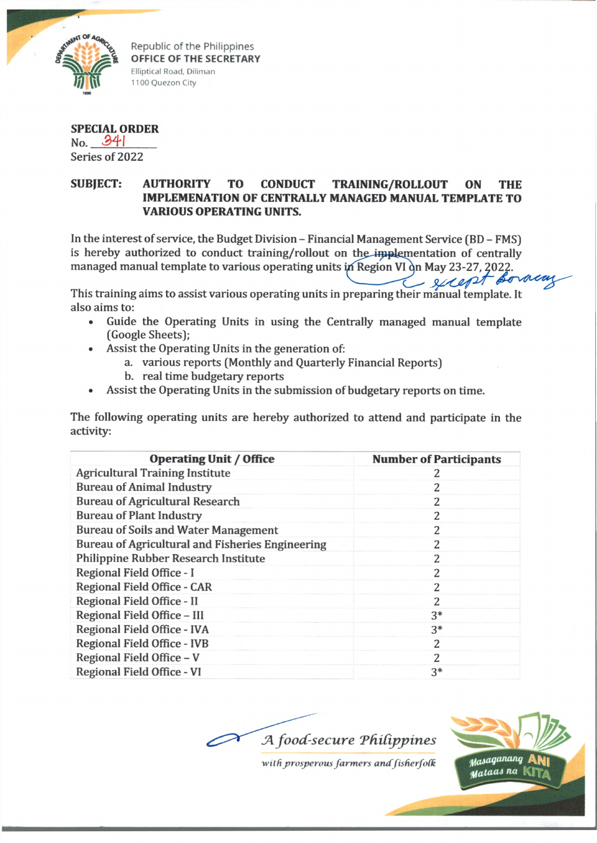

Republic of the Philippines **OFFICE OF THE SECRETARY** Elliptical Road, Diliman 1100 Quezon City

**SPECIAL ORDER** No. £41 Series of 2022

## **SUBJECT: AUTHORITY TO CONDUCT TRAINING/ROLLOUT ON THE IMPLEMENATION OF CENTRALLY MANAGED MANUAL TEMPLATE TO VARIOUS OPERATING UNITS.**

In the interest of service, the Budget Division - Financial Management Service (BD - FMS) is hereby authorized to conduct training/rollout on the implementation of centrally managed manual template to various operating units in Region VI on May 23-27, 2022.

This training aims to assist various operating units in preparing their manual template. It also aims to:

- Guide the Operating Units in using the Centrally managed manual template (Google Sheets);
	- Assist the Operating Units in the generation of:
		- a. various reports (Monthly and Quarterly Financial Reports)
		- b. real time budgetary reports
- Assist the Operating Units in the submission of budgetary reports on time.

The following operating units are hereby authorized to attend and participate in the activity:

| <b>Operating Unit / Office</b>                   | <b>Number of Participants</b> |
|--------------------------------------------------|-------------------------------|
| <b>Agricultural Training Institute</b>           | 2                             |
| <b>Bureau of Animal Industry</b>                 | 2                             |
| <b>Bureau of Agricultural Research</b>           | 2                             |
| <b>Bureau of Plant Industry</b>                  | 2                             |
| <b>Bureau of Soils and Water Management</b>      | 2                             |
| Bureau of Agricultural and Fisheries Engineering | 2                             |
| Philippine Rubber Research Institute             | 2                             |
| Regional Field Office - I                        | 2                             |
| Regional Field Office - CAR                      | 2                             |
| Regional Field Office - II                       | 2                             |
| Regional Field Office - III                      | $3*$                          |
| Regional Field Office - IVA                      | $3*$                          |
| Regional Field Office - IVB                      | 2                             |
| Regional Field Office - V                        | 2                             |
| Regional Field Office - VI                       | $3*$                          |





enemot se

*■wild prosperous farmers andfisderfofk*